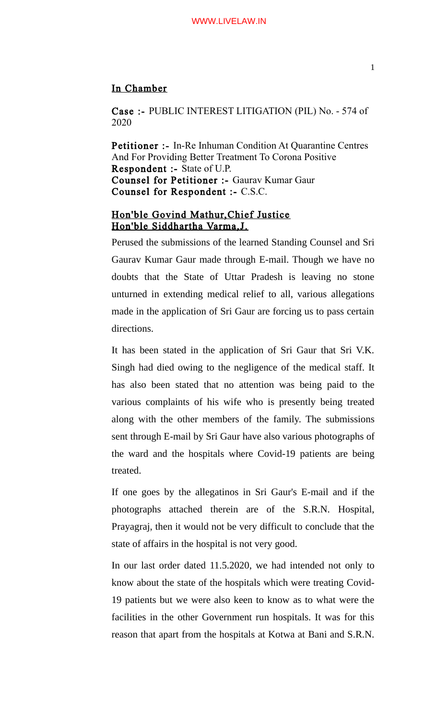## In Chamber

Case :- PUBLIC INTEREST LITIGATION (PIL) No. - 574 of 2020

Petitioner :- In-Re Inhuman Condition At Quarantine Centres And For Providing Better Treatment To Corona Positive Respondent :- State of U.P. Counsel for Petitioner :- Gaurav Kumar Gaur Counsel for Respondent :- C.S.C.

## Hon'ble Govind Mathur,Chief Justice Hon'ble Siddhartha Varma,J.

Perused the submissions of the learned Standing Counsel and Sri Gaurav Kumar Gaur made through E-mail. Though we have no doubts that the State of Uttar Pradesh is leaving no stone unturned in extending medical relief to all, various allegations made in the application of Sri Gaur are forcing us to pass certain directions.

It has been stated in the application of Sri Gaur that Sri V.K. Singh had died owing to the negligence of the medical staff. It has also been stated that no attention was being paid to the various complaints of his wife who is presently being treated along with the other members of the family. The submissions sent through E-mail by Sri Gaur have also various photographs of the ward and the hospitals where Covid-19 patients are being treated.

If one goes by the allegatinos in Sri Gaur's E-mail and if the photographs attached therein are of the S.R.N. Hospital, Prayagraj, then it would not be very difficult to conclude that the state of affairs in the hospital is not very good.

In our last order dated 11.5.2020, we had intended not only to know about the state of the hospitals which were treating Covid-19 patients but we were also keen to know as to what were the facilities in the other Government run hospitals. It was for this reason that apart from the hospitals at Kotwa at Bani and S.R.N.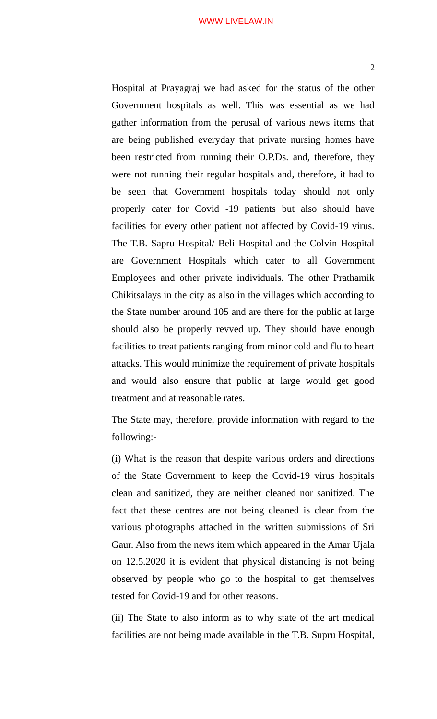## WWW.LIVELAW.IN

2

Hospital at Prayagraj we had asked for the status of the other Government hospitals as well. This was essential as we had gather information from the perusal of various news items that are being published everyday that private nursing homes have been restricted from running their O.P.Ds. and, therefore, they were not running their regular hospitals and, therefore, it had to be seen that Government hospitals today should not only properly cater for Covid -19 patients but also should have facilities for every other patient not affected by Covid-19 virus. The T.B. Sapru Hospital/ Beli Hospital and the Colvin Hospital are Government Hospitals which cater to all Government Employees and other private individuals. The other Prathamik Chikitsalays in the city as also in the villages which according to the State number around 105 and are there for the public at large should also be properly revved up. They should have enough facilities to treat patients ranging from minor cold and flu to heart attacks. This would minimize the requirement of private hospitals and would also ensure that public at large would get good treatment and at reasonable rates.

The State may, therefore, provide information with regard to the following:-

(i) What is the reason that despite various orders and directions of the State Government to keep the Covid-19 virus hospitals clean and sanitized, they are neither cleaned nor sanitized. The fact that these centres are not being cleaned is clear from the various photographs attached in the written submissions of Sri Gaur. Also from the news item which appeared in the Amar Ujala on 12.5.2020 it is evident that physical distancing is not being observed by people who go to the hospital to get themselves tested for Covid-19 and for other reasons.

(ii) The State to also inform as to why state of the art medical facilities are not being made available in the T.B. Supru Hospital,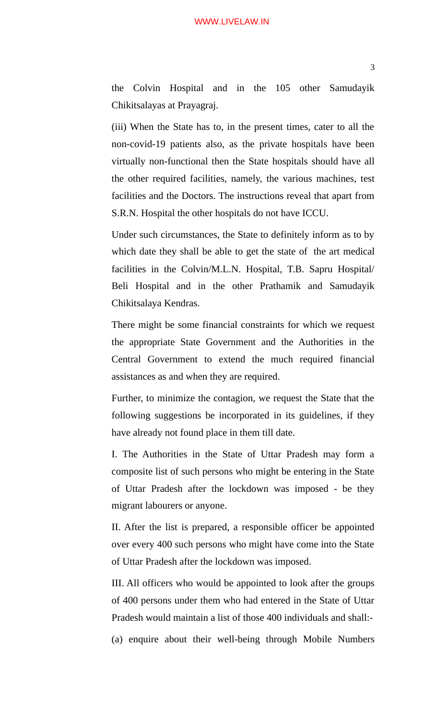## WWW.LIVELAW.IN

the Colvin Hospital and in the 105 other Samudayik Chikitsalayas at Prayagraj.

(iii) When the State has to, in the present times, cater to all the non-covid-19 patients also, as the private hospitals have been virtually non-functional then the State hospitals should have all the other required facilities, namely, the various machines, test facilities and the Doctors. The instructions reveal that apart from S.R.N. Hospital the other hospitals do not have ICCU.

Under such circumstances, the State to definitely inform as to by which date they shall be able to get the state of the art medical facilities in the Colvin/M.L.N. Hospital, T.B. Sapru Hospital/ Beli Hospital and in the other Prathamik and Samudayik Chikitsalaya Kendras.

There might be some financial constraints for which we request the appropriate State Government and the Authorities in the Central Government to extend the much required financial assistances as and when they are required.

Further, to minimize the contagion, we request the State that the following suggestions be incorporated in its guidelines, if they have already not found place in them till date.

I. The Authorities in the State of Uttar Pradesh may form a composite list of such persons who might be entering in the State of Uttar Pradesh after the lockdown was imposed - be they migrant labourers or anyone.

II. After the list is prepared, a responsible officer be appointed over every 400 such persons who might have come into the State of Uttar Pradesh after the lockdown was imposed.

III. All officers who would be appointed to look after the groups of 400 persons under them who had entered in the State of Uttar Pradesh would maintain a list of those 400 individuals and shall:-

(a) enquire about their well-being through Mobile Numbers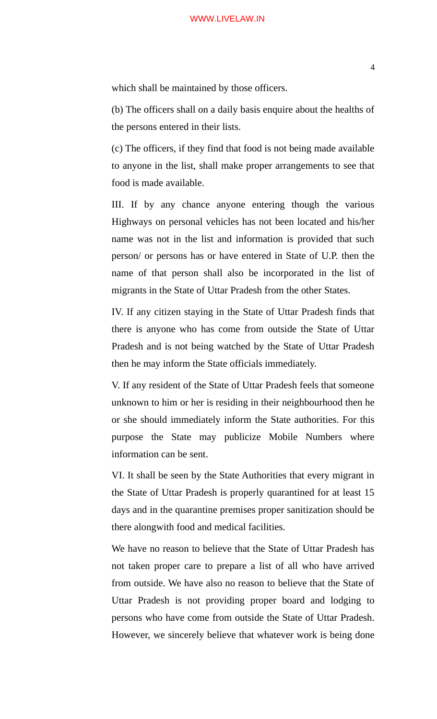which shall be maintained by those officers.

(b) The officers shall on a daily basis enquire about the healths of the persons entered in their lists.

(c) The officers, if they find that food is not being made available to anyone in the list, shall make proper arrangements to see that food is made available.

III. If by any chance anyone entering though the various Highways on personal vehicles has not been located and his/her name was not in the list and information is provided that such person/ or persons has or have entered in State of U.P. then the name of that person shall also be incorporated in the list of migrants in the State of Uttar Pradesh from the other States.

IV. If any citizen staying in the State of Uttar Pradesh finds that there is anyone who has come from outside the State of Uttar Pradesh and is not being watched by the State of Uttar Pradesh then he may inform the State officials immediately.

V. If any resident of the State of Uttar Pradesh feels that someone unknown to him or her is residing in their neighbourhood then he or she should immediately inform the State authorities. For this purpose the State may publicize Mobile Numbers where information can be sent.

VI. It shall be seen by the State Authorities that every migrant in the State of Uttar Pradesh is properly quarantined for at least 15 days and in the quarantine premises proper sanitization should be there alongwith food and medical facilities.

We have no reason to believe that the State of Uttar Pradesh has not taken proper care to prepare a list of all who have arrived from outside. We have also no reason to believe that the State of Uttar Pradesh is not providing proper board and lodging to persons who have come from outside the State of Uttar Pradesh. However, we sincerely believe that whatever work is being done